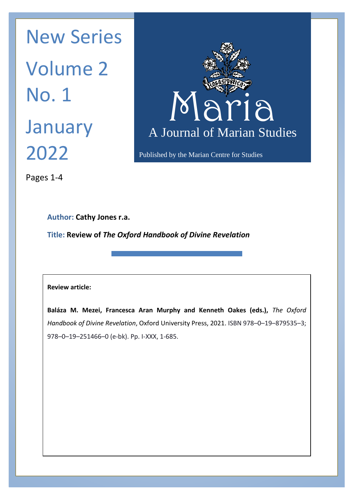Maria Maria N January A Journal New Series Volume 2 No. 1 2022



Published by the Marian Centre for Studies

Pages 1-4

**Author: Cathy Jones r.a.**

**Title: Review of** *The Oxford Handbook of Divine Revelation*

## **Review article:**

**Baláza M. Mezei, Francesca Aran Murphy and Kenneth Oakes (eds.),** *The Oxford Handbook of Divine Revelation*, Oxford University Press, 2021. ISBN 978–0–19–879535–3; 978–0–19–251466–0 (e-bk). Pp. I-XXX, 1-685.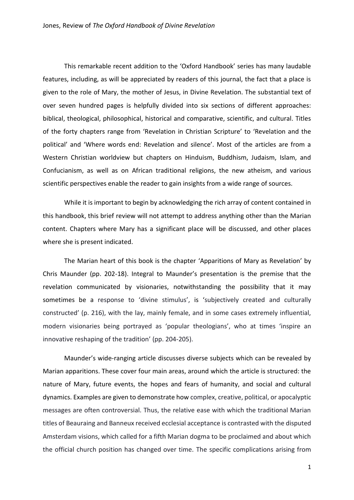This remarkable recent addition to the 'Oxford Handbook' series has many laudable features, including, as will be appreciated by readers of this journal, the fact that a place is given to the role of Mary, the mother of Jesus, in Divine Revelation. The substantial text of over seven hundred pages is helpfully divided into six sections of different approaches: biblical, theological, philosophical, historical and comparative, scientific, and cultural. Titles of the forty chapters range from 'Revelation in Christian Scripture' to 'Revelation and the political' and 'Where words end: Revelation and silence'. Most of the articles are from a Western Christian worldview but chapters on Hinduism, Buddhism, Judaism, Islam, and Confucianism, as well as on African traditional religions, the new atheism, and various scientific perspectives enable the reader to gain insights from a wide range of sources.

While it is important to begin by acknowledging the rich array of content contained in this handbook, this brief review will not attempt to address anything other than the Marian content. Chapters where Mary has a significant place will be discussed, and other places where she is present indicated.

The Marian heart of this book is the chapter 'Apparitions of Mary as Revelation' by Chris Maunder (pp. 202-18). Integral to Maunder's presentation is the premise that the revelation communicated by visionaries, notwithstanding the possibility that it may sometimes be a response to 'divine stimulus', is 'subjectively created and culturally constructed' (p. 216), with the lay, mainly female, and in some cases extremely influential, modern visionaries being portrayed as 'popular theologians', who at times 'inspire an innovative reshaping of the tradition' (pp. 204-205).

Maunder's wide-ranging article discusses diverse subjects which can be revealed by Marian apparitions. These cover four main areas, around which the article is structured: the nature of Mary, future events, the hopes and fears of humanity, and social and cultural dynamics. Examples are given to demonstrate how complex, creative, political, or apocalyptic messages are often controversial. Thus, the relative ease with which the traditional Marian titles of Beauraing and Banneux received ecclesial acceptance is contrasted with the disputed Amsterdam visions, which called for a fifth Marian dogma to be proclaimed and about which the official church position has changed over time. The specific complications arising from

1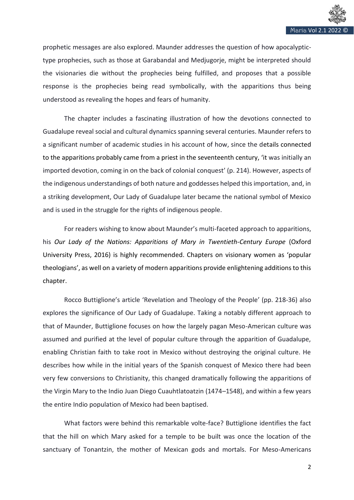

prophetic messages are also explored. Maunder addresses the question of how apocalyptictype prophecies, such as those at Garabandal and Medjugorje, might be interpreted should the visionaries die without the prophecies being fulfilled, and proposes that a possible response is the prophecies being read symbolically, with the apparitions thus being understood as revealing the hopes and fears of humanity.

The chapter includes a fascinating illustration of how the devotions connected to Guadalupe reveal social and cultural dynamics spanning several centuries. Maunder refers to a significant number of academic studies in his account of how, since the details connected to the apparitions probably came from a priest in the seventeenth century, 'it was initially an imported devotion, coming in on the back of colonial conquest' (p. 214). However, aspects of the indigenous understandings of both nature and goddesses helped this importation, and, in a striking development, Our Lady of Guadalupe later became the national symbol of Mexico and is used in the struggle for the rights of indigenous people.

For readers wishing to know about Maunder's multi-faceted approach to apparitions, his *Our Lady of the Nations: Apparitions of Mary in Twentieth-Century Europe* (Oxford University Press, 2016) is highly recommended. Chapters on visionary women as 'popular theologians', as well on a variety of modern apparitions provide enlightening additions to this chapter.

Rocco Buttiglione's article 'Revelation and Theology of the People' (pp. 218-36) also explores the significance of Our Lady of Guadalupe. Taking a notably different approach to that of Maunder, Buttiglione focuses on how the largely pagan Meso-American culture was assumed and purified at the level of popular culture through the apparition of Guadalupe, enabling Christian faith to take root in Mexico without destroying the original culture. He describes how while in the initial years of the Spanish conquest of Mexico there had been very few conversions to Christianity, this changed dramatically following the apparitions of the Virgin Mary to the Indio Juan Diego Cuauhtlatoatzin (1474–1548), and within a few years the entire Indio population of Mexico had been baptised.

What factors were behind this remarkable volte-face? Buttiglione identifies the fact that the hill on which Mary asked for a temple to be built was once the location of the sanctuary of Tonantzin, the mother of Mexican gods and mortals. For Meso-Americans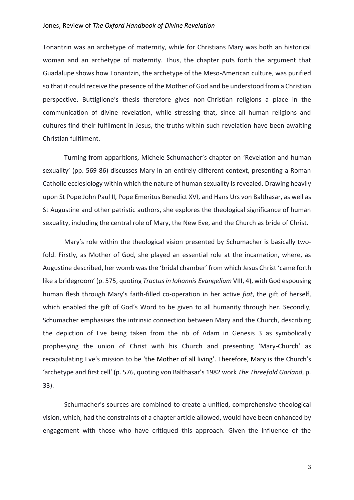## Jones, Review of *The Oxford Handbook of Divine Revelation*

Tonantzin was an archetype of maternity, while for Christians Mary was both an historical woman and an archetype of maternity. Thus, the chapter puts forth the argument that Guadalupe shows how Tonantzin, the archetype of the Meso-American culture, was purified so that it could receive the presence of the Mother of God and be understood from a Christian perspective. Buttiglione's thesis therefore gives non-Christian religions a place in the communication of divine revelation, while stressing that, since all human religions and cultures find their fulfilment in Jesus, the truths within such revelation have been awaiting Christian fulfilment.

Turning from apparitions, Michele Schumacher's chapter on 'Revelation and human sexuality' (pp. 569-86) discusses Mary in an entirely different context, presenting a Roman Catholic ecclesiology within which the nature of human sexuality is revealed. Drawing heavily upon St Pope John Paul II, Pope Emeritus Benedict XVI, and Hans Urs von Balthasar, as well as St Augustine and other patristic authors, she explores the theological significance of human sexuality, including the central role of Mary, the New Eve, and the Church as bride of Christ.

Mary's role within the theological vision presented by Schumacher is basically twofold. Firstly, as Mother of God, she played an essential role at the incarnation, where, as Augustine described, her womb was the 'bridal chamber' from which Jesus Christ 'came forth like a bridegroom' (p. 575, quoting *Tractus in Iohannis Evangelium* VIII, 4), with God espousing human flesh through Mary's faith-filled co-operation in her active *fiat*, the gift of herself, which enabled the gift of God's Word to be given to all humanity through her. Secondly, Schumacher emphasises the intrinsic connection between Mary and the Church, describing the depiction of Eve being taken from the rib of Adam in Genesis 3 as symbolically prophesying the union of Christ with his Church and presenting 'Mary-Church' as recapitulating Eve's mission to be 'the Mother of all living'. Therefore, Mary is the Church's 'archetype and first cell' (p. 576, quoting von Balthasar's 1982 work *The Threefold Garland*, p. 33).

Schumacher's sources are combined to create a unified, comprehensive theological vision, which, had the constraints of a chapter article allowed, would have been enhanced by engagement with those who have critiqued this approach. Given the influence of the

3